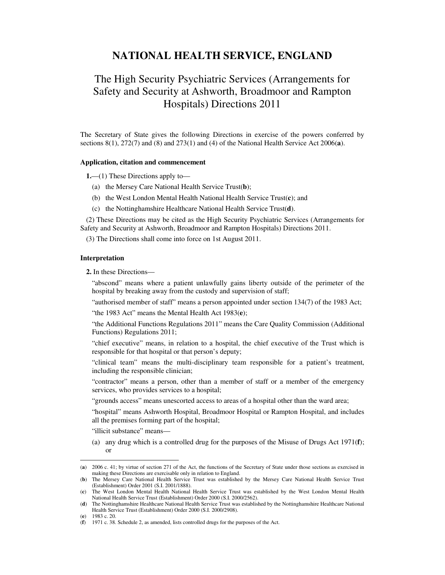## **NATIONAL HEALTH SERVICE, ENGLAND**

## The High Security Psychiatric Services (Arrangements for Safety and Security at Ashworth, Broadmoor and Rampton Hospitals) Directions 2011

The Secretary of State gives the following Directions in exercise of the powers conferred by sections 8(1), 272(7) and (8) and 273(1) and (4) of the National Health Service Act 2006(**a**).

## **Application, citation and commencement**

**1.**—(1) These Directions apply to—

- (a) the Mersey Care National Health Service Trust(**b**);
- (b) the West London Mental Health National Health Service Trust(**c**); and
- (c) the Nottinghamshire Healthcare National Health Service Trust(**d**).

(2) These Directions may be cited as the High Security Psychiatric Services (Arrangements for Safety and Security at Ashworth, Broadmoor and Rampton Hospitals) Directions 2011.

(3) The Directions shall come into force on 1st August 2011.

## **Interpretation**

**2.** In these Directions—

"abscond" means where a patient unlawfully gains liberty outside of the perimeter of the hospital by breaking away from the custody and supervision of staff;

"authorised member of staff" means a person appointed under section 134(7) of the 1983 Act;

"the 1983 Act" means the Mental Health Act 1983(**e**);

"the Additional Functions Regulations 2011" means the Care Quality Commission (Additional Functions) Regulations 2011;

"chief executive" means, in relation to a hospital, the chief executive of the Trust which is responsible for that hospital or that person's deputy;

"clinical team" means the multi-disciplinary team responsible for a patient's treatment, including the responsible clinician;

"contractor" means a person, other than a member of staff or a member of the emergency services, who provides services to a hospital;

"grounds access" means unescorted access to areas of a hospital other than the ward area;

"hospital" means Ashworth Hospital, Broadmoor Hospital or Rampton Hospital, and includes all the premises forming part of the hospital;

"illicit substance" means—

(a) any drug which is a controlled drug for the purposes of the Misuse of Drugs Act 1971(**f**); or

<sup>(</sup>**a**) 2006 c. 41; by virtue of section 271 of the Act, the functions of the Secretary of State under those sections as exercised in making these Directions are exercisable only in relation to England.

<sup>(</sup>**b**) The Mersey Care National Health Service Trust was established by the Mersey Care National Health Service Trust (Establishment) Order 2001 (S.I. 2001/1888).

<sup>(</sup>**c**) The West London Mental Health National Health Service Trust was established by the West London Mental Health National Health Service Trust (Establishment) Order 2000 (S.I. 2000/2562).

<sup>(</sup>**d**) The Nottinghamshire Healthcare National Health Service Trust was established by the Nottinghamshire Healthcare National Health Service Trust (Establishment) Order 2000 (S.I. 2000/2908).

<sup>(</sup>**e**) 1983 c. 20.

<sup>(</sup>**f**) 1971 c. 38. Schedule 2, as amended, lists controlled drugs for the purposes of the Act.